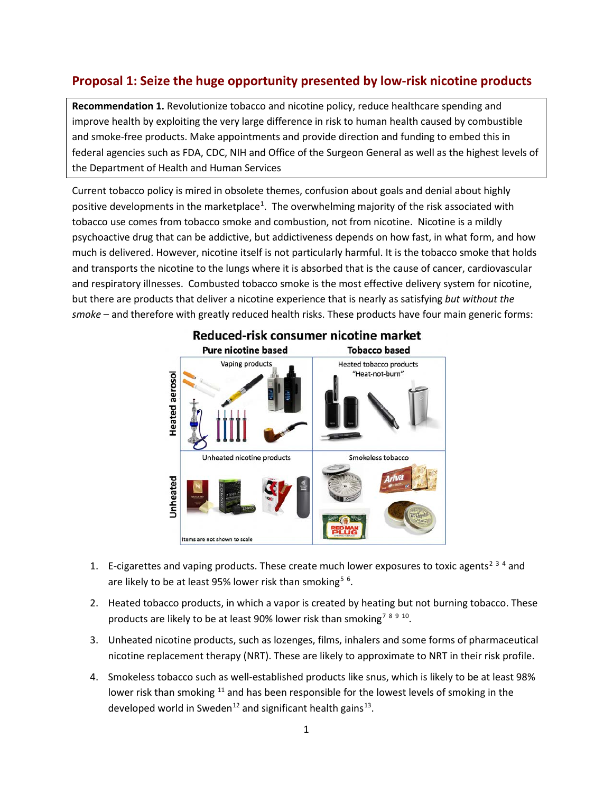## **Proposal 1: Seize the huge opportunity presented by low-risk nicotine products**

**Recommendation 1.** Revolutionize tobacco and nicotine policy, reduce healthcare spending and improve health by exploiting the very large difference in risk to human health caused by combustible and smoke-free products. Make appointments and provide direction and funding to embed this in federal agencies such as FDA, CDC, NIH and Office of the Surgeon General as well as the highest levels of the Department of Health and Human Services

Current tobacco policy is mired in obsolete themes, confusion about goals and denial about highly positive developments in the marketplace<sup>[1](#page-1-0)</sup>. The overwhelming majority of the risk associated with tobacco use comes from tobacco smoke and combustion, not from nicotine. Nicotine is a mildly psychoactive drug that can be addictive, but addictiveness depends on how fast, in what form, and how much is delivered. However, nicotine itself is not particularly harmful. It is the tobacco smoke that holds and transports the nicotine to the lungs where it is absorbed that is the cause of cancer, cardiovascular and respiratory illnesses. Combusted tobacco smoke is the most effective delivery system for nicotine, but there are products that deliver a nicotine experience that is nearly as satisfying *but without the smoke* – and therefore with greatly reduced health risks. These products have four main generic forms:



- 1. E-cigarettes and vaping products. These create much lower exposures to toxic agents<sup>[2](#page-1-1)[3](#page-1-2)[4](#page-1-3)</sup> and are likely to be at least 9[5](#page-1-4)% lower risk than smoking<sup>5[6](#page-1-5)</sup>.
- 2. Heated tobacco products, in which a vapor is created by heating but not burning tobacco. These products are likely to be at least 90% lower risk than smoking<sup>[7](#page-1-6)[8](#page-1-7)[9](#page-1-8)[10](#page-1-9)</sup>.
- 3. Unheated nicotine products, such as lozenges, films, inhalers and some forms of pharmaceutical nicotine replacement therapy (NRT). These are likely to approximate to NRT in their risk profile.
- 4. Smokeless tobacco such as well-established products like snus, which is likely to be at least 98% lower risk than smoking  $11$  and has been responsible for the lowest levels of smoking in the developed world in Sweden<sup>[12](#page-1-11)</sup> and significant health gains<sup>13</sup>.